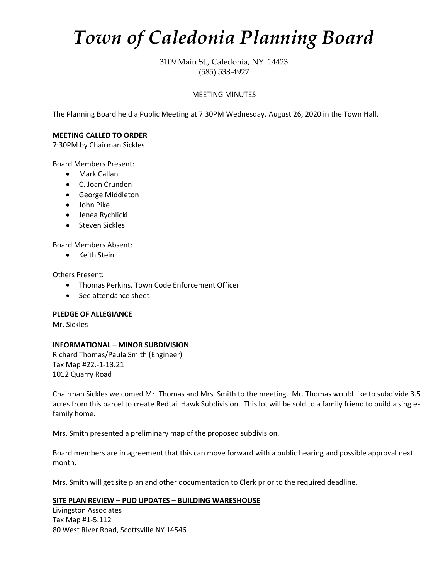# *Town of Caledonia Planning Board*

3109 Main St., Caledonia, NY 14423 (585) 538-4927

## MEETING MINUTES

The Planning Board held a Public Meeting at 7:30PM Wednesday, August 26, 2020 in the Town Hall.

## **MEETING CALLED TO ORDER**

7:30PM by Chairman Sickles

Board Members Present:

- Mark Callan
- C. Joan Crunden
- George Middleton
- John Pike
- Jenea Rychlicki
- Steven Sickles

Board Members Absent:

• Keith Stein

Others Present:

- Thomas Perkins, Town Code Enforcement Officer
- See attendance sheet

### **PLEDGE OF ALLEGIANCE**

Mr. Sickles

# **INFORMATIONAL – MINOR SUBDIVISION**

Richard Thomas/Paula Smith (Engineer) Tax Map #22.-1-13.21 1012 Quarry Road

Chairman Sickles welcomed Mr. Thomas and Mrs. Smith to the meeting. Mr. Thomas would like to subdivide 3.5 acres from this parcel to create Redtail Hawk Subdivision. This lot will be sold to a family friend to build a singlefamily home.

Mrs. Smith presented a preliminary map of the proposed subdivision.

Board members are in agreement that this can move forward with a public hearing and possible approval next month.

Mrs. Smith will get site plan and other documentation to Clerk prior to the required deadline.

# **SITE PLAN REVIEW – PUD UPDATES – BUILDING WARESHOUSE**

Livingston Associates Tax Map #1-5.112 80 West River Road, Scottsville NY 14546